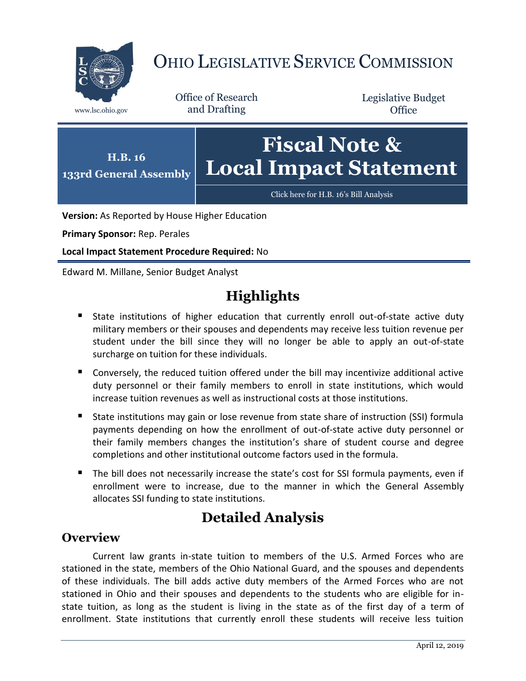

# OHIO LEGISLATIVE SERVICE COMMISSION

Office of Research www.lsc.ohio.gov and Drafting

Legislative Budget **Office** 



**Version:** As Reported by House Higher Education

**Primary Sponsor:** Rep. Perales

**Local Impact Statement Procedure Required:** No

Edward M. Millane, Senior Budget Analyst

## **Highlights**

- State institutions of higher education that currently enroll out-of-state active duty military members or their spouses and dependents may receive less tuition revenue per student under the bill since they will no longer be able to apply an out-of-state surcharge on tuition for these individuals.
- Conversely, the reduced tuition offered under the bill may incentivize additional active duty personnel or their family members to enroll in state institutions, which would increase tuition revenues as well as instructional costs at those institutions.
- State institutions may gain or lose revenue from state share of instruction (SSI) formula payments depending on how the enrollment of out-of-state active duty personnel or their family members changes the institution's share of student course and degree completions and other institutional outcome factors used in the formula.
- The bill does not necessarily increase the state's cost for SSI formula payments, even if enrollment were to increase, due to the manner in which the General Assembly allocates SSI funding to state institutions.

### **Detailed Analysis**

#### **Overview**

Current law grants in-state tuition to members of the U.S. Armed Forces who are stationed in the state, members of the Ohio National Guard, and the spouses and dependents of these individuals. The bill adds active duty members of the Armed Forces who are not stationed in Ohio and their spouses and dependents to the students who are eligible for instate tuition, as long as the student is living in the state as of the first day of a term of enrollment. State institutions that currently enroll these students will receive less tuition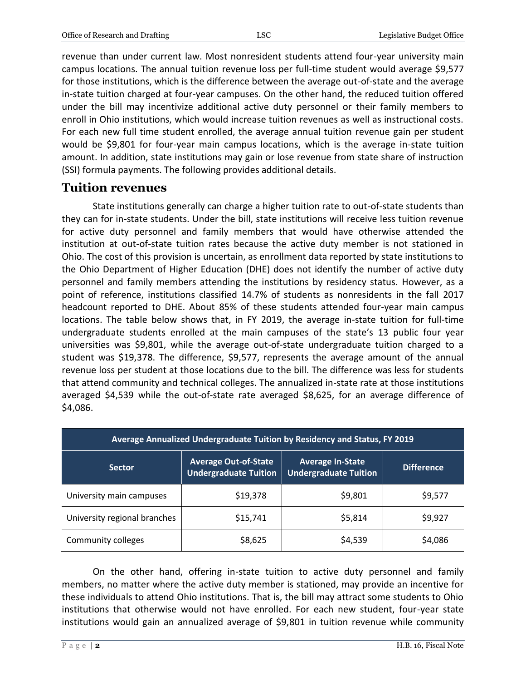revenue than under current law. Most nonresident students attend four-year university main campus locations. The annual tuition revenue loss per full-time student would average \$9,577 for those institutions, which is the difference between the average out-of-state and the average in-state tuition charged at four-year campuses. On the other hand, the reduced tuition offered under the bill may incentivize additional active duty personnel or their family members to enroll in Ohio institutions, which would increase tuition revenues as well as instructional costs. For each new full time student enrolled, the average annual tuition revenue gain per student would be \$9,801 for four-year main campus locations, which is the average in-state tuition amount. In addition, state institutions may gain or lose revenue from state share of instruction (SSI) formula payments. The following provides additional details.

#### **Tuition revenues**

State institutions generally can charge a higher tuition rate to out-of-state students than they can for in-state students. Under the bill, state institutions will receive less tuition revenue for active duty personnel and family members that would have otherwise attended the institution at out-of-state tuition rates because the active duty member is not stationed in Ohio. The cost of this provision is uncertain, as enrollment data reported by state institutions to the Ohio Department of Higher Education (DHE) does not identify the number of active duty personnel and family members attending the institutions by residency status. However, as a point of reference, institutions classified 14.7% of students as nonresidents in the fall 2017 headcount reported to DHE. About 85% of these students attended four-year main campus locations. The table below shows that, in FY 2019, the average in-state tuition for full-time undergraduate students enrolled at the main campuses of the state's 13 public four year universities was \$9,801, while the average out-of-state undergraduate tuition charged to a student was \$19,378. The difference, \$9,577, represents the average amount of the annual revenue loss per student at those locations due to the bill. The difference was less for students that attend community and technical colleges. The annualized in-state rate at those institutions averaged \$4,539 while the out-of-state rate averaged \$8,625, for an average difference of \$4,086.

| Average Annualized Undergraduate Tuition by Residency and Status, FY 2019 |                                                             |                                                         |                   |
|---------------------------------------------------------------------------|-------------------------------------------------------------|---------------------------------------------------------|-------------------|
| <b>Sector</b>                                                             | <b>Average Out-of-State</b><br><b>Undergraduate Tuition</b> | <b>Average In-State</b><br><b>Undergraduate Tuition</b> | <b>Difference</b> |
| University main campuses                                                  | \$19,378                                                    | \$9,801                                                 | \$9,577           |
| University regional branches                                              | \$15,741                                                    | \$5,814                                                 | \$9,927           |
| Community colleges                                                        | \$8,625                                                     | \$4,539                                                 | \$4,086           |

On the other hand, offering in-state tuition to active duty personnel and family members, no matter where the active duty member is stationed, may provide an incentive for these individuals to attend Ohio institutions. That is, the bill may attract some students to Ohio institutions that otherwise would not have enrolled. For each new student, four-year state institutions would gain an annualized average of \$9,801 in tuition revenue while community